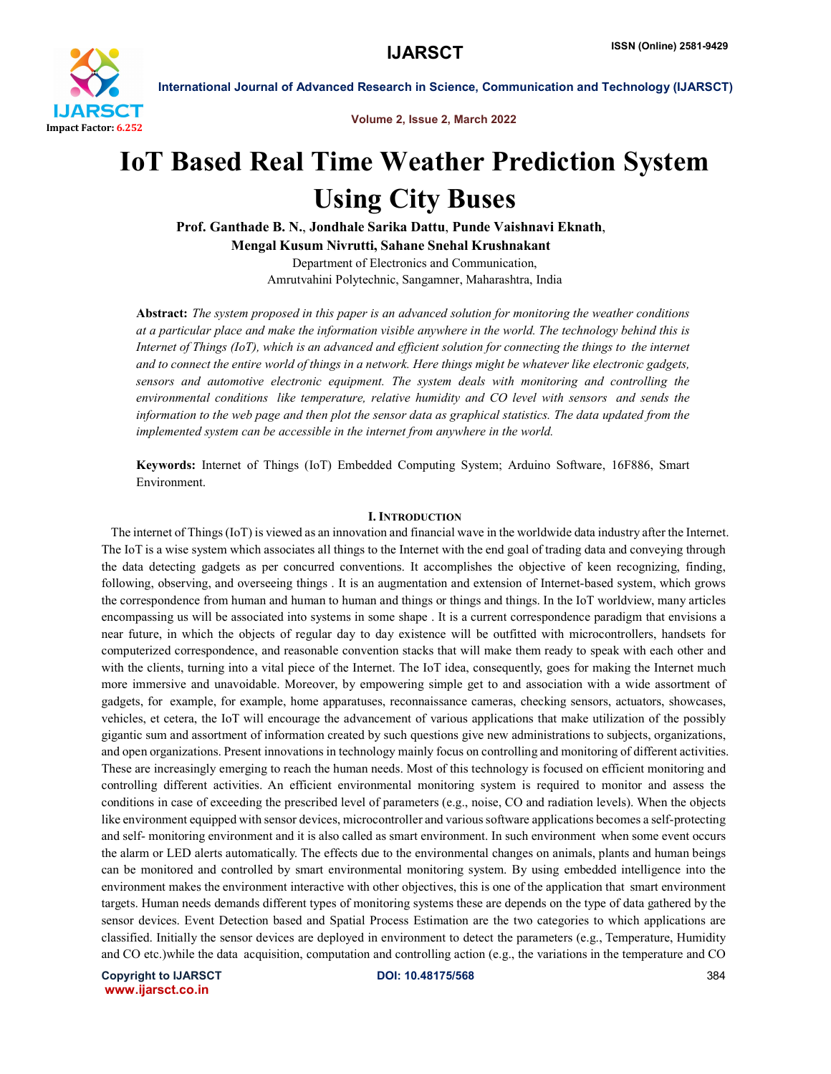

Volume 2, Issue 2, March 2022

# IoT Based Real Time Weather Prediction System Using City Buses

Prof. Ganthade B. N., Jondhale Sarika Dattu, Punde Vaishnavi Eknath,

Mengal Kusum Nivrutti, Sahane Snehal Krushnakant

Department of Electronics and Communication, Amrutvahini Polytechnic, Sangamner, Maharashtra, India

Abstract: *The system proposed in this paper is an advanced solution for monitoring the weather conditions at a particular place and make the information visible anywhere in the world. The technology behind this is Internet of Things (IoT), which is an advanced and efficient solution for connecting the things to the internet and to connect the entire world of things in a network. Here things might be whatever like electronic gadgets, sensors and automotive electronic equipment. The system deals with monitoring and controlling the environmental conditions like temperature, relative humidity and CO level with sensors and sends the information to the web page and then plot the sensor data as graphical statistics. The data updated from the implemented system can be accessible in the internet from anywhere in the world.*

Keywords: Internet of Things (IoT) Embedded Computing System; Arduino Software, 16F886, Smart Environment.

#### **I. INTRODUCTION**

 The internet of Things (IoT) is viewed as an innovation and financial wave in the worldwide data industry after the Internet. The IoT is a wise system which associates all things to the Internet with the end goal of trading data and conveying through the data detecting gadgets as per concurred conventions. It accomplishes the objective of keen recognizing, finding, following, observing, and overseeing things . It is an augmentation and extension of Internet-based system, which grows the correspondence from human and human to human and things or things and things. In the IoT worldview, many articles encompassing us will be associated into systems in some shape . It is a current correspondence paradigm that envisions a near future, in which the objects of regular day to day existence will be outfitted with microcontrollers, handsets for computerized correspondence, and reasonable convention stacks that will make them ready to speak with each other and with the clients, turning into a vital piece of the Internet. The IoT idea, consequently, goes for making the Internet much more immersive and unavoidable. Moreover, by empowering simple get to and association with a wide assortment of gadgets, for example, for example, home apparatuses, reconnaissance cameras, checking sensors, actuators, showcases, vehicles, et cetera, the IoT will encourage the advancement of various applications that make utilization of the possibly gigantic sum and assortment of information created by such questions give new administrations to subjects, organizations, and open organizations. Present innovations in technology mainly focus on controlling and monitoring of different activities. These are increasingly emerging to reach the human needs. Most of this technology is focused on efficient monitoring and controlling different activities. An efficient environmental monitoring system is required to monitor and assess the conditions in case of exceeding the prescribed level of parameters (e.g., noise, CO and radiation levels). When the objects like environment equipped with sensor devices, microcontroller and various software applications becomes a self-protecting and self- monitoring environment and it is also called as smart environment. In such environment when some event occurs the alarm or LED alerts automatically. The effects due to the environmental changes on animals, plants and human beings can be monitored and controlled by smart environmental monitoring system. By using embedded intelligence into the environment makes the environment interactive with other objectives, this is one of the application that smart environment targets. Human needs demands different types of monitoring systems these are depends on the type of data gathered by the sensor devices. Event Detection based and Spatial Process Estimation are the two categories to which applications are classified. Initially the sensor devices are deployed in environment to detect the parameters (e.g., Temperature, Humidity and CO etc.)while the data acquisition, computation and controlling action (e.g., the variations in the temperature and CO

Copyright to IJARSCT DOI: 10.48175/568 384 www.ijarsct.co.in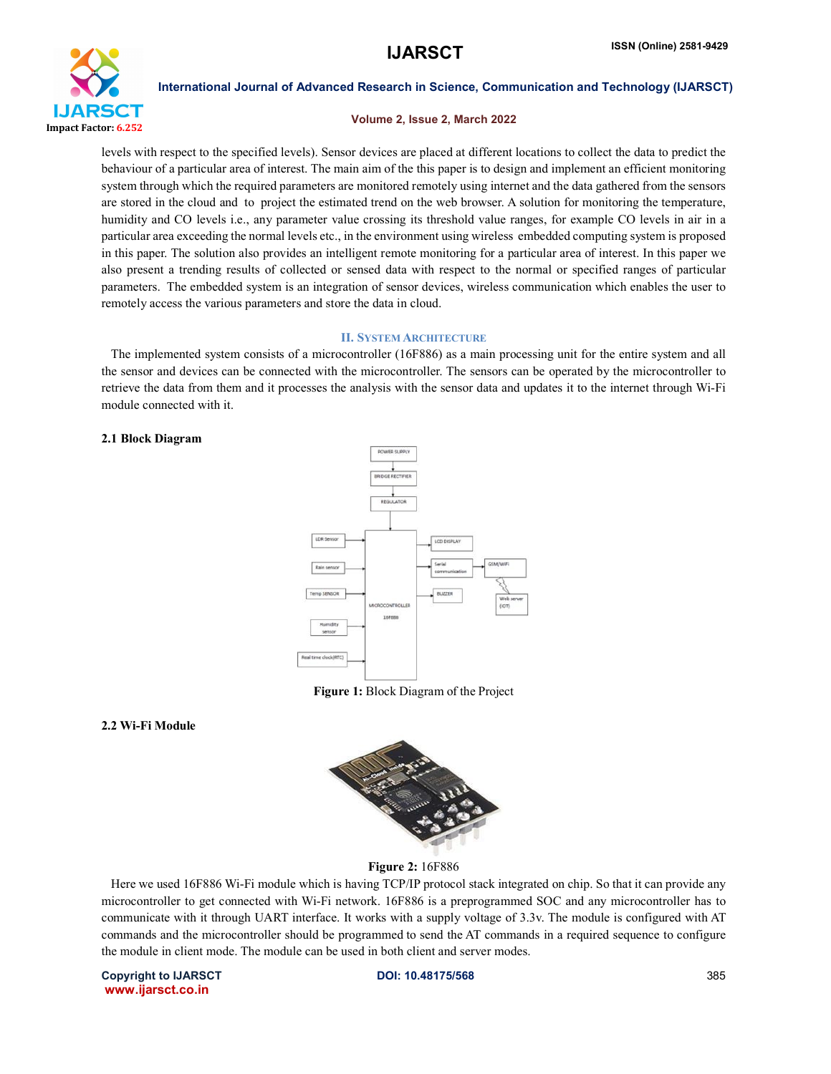

# Volume 2, Issue 2, March 2022

levels with respect to the specified levels). Sensor devices are placed at different locations to collect the data to predict the behaviour of a particular area of interest. The main aim of the this paper is to design and implement an efficient monitoring system through which the required parameters are monitored remotely using internet and the data gathered from the sensors are stored in the cloud and to project the estimated trend on the web browser. A solution for monitoring the temperature, humidity and CO levels i.e., any parameter value crossing its threshold value ranges, for example CO levels in air in a particular area exceeding the normal levels etc., in the environment using wireless embedded computing system is proposed in this paper. The solution also provides an intelligent remote monitoring for a particular area of interest. In this paper we also present a trending results of collected or sensed data with respect to the normal or specified ranges of particular parameters. The embedded system is an integration of sensor devices, wireless communication which enables the user to remotely access the various parameters and store the data in cloud.

### II. SYSTEM ARCHITECTURE

 The implemented system consists of a microcontroller (16F886) as a main processing unit for the entire system and all the sensor and devices can be connected with the microcontroller. The sensors can be operated by the microcontroller to retrieve the data from them and it processes the analysis with the sensor data and updates it to the internet through Wi-Fi module connected with it.

### 2.1 Block Diagram



Figure 1: Block Diagram of the Project

# 2.2 Wi-Fi Module



Figure 2: 16F886

 Here we used 16F886 Wi-Fi module which is having TCP/IP protocol stack integrated on chip. So that it can provide any microcontroller to get connected with Wi-Fi network. 16F886 is a preprogrammed SOC and any microcontroller has to communicate with it through UART interface. It works with a supply voltage of 3.3v. The module is configured with AT commands and the microcontroller should be programmed to send the AT commands in a required sequence to configure the module in client mode. The module can be used in both client and server modes.

Copyright to IJARSCT DOI: 10.48175/568 385 www.ijarsct.co.in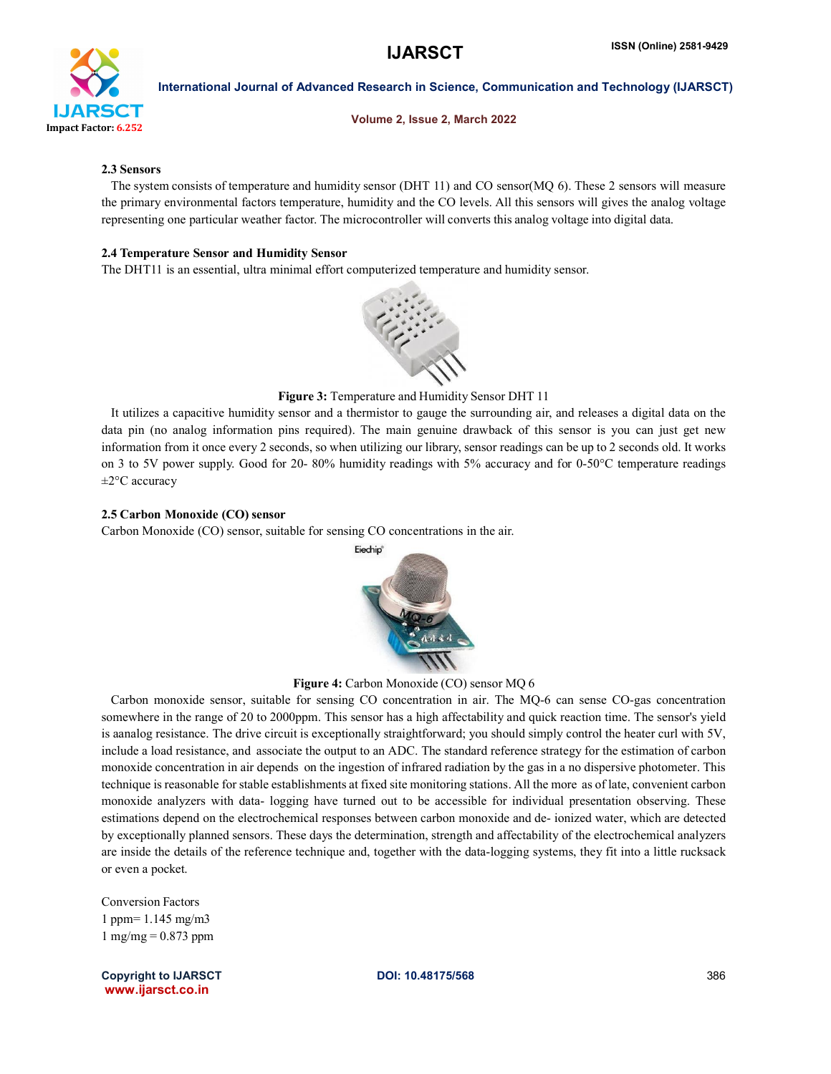

Volume 2, Issue 2, March 2022

# 2.3 Sensors

 The system consists of temperature and humidity sensor (DHT 11) and CO sensor(MQ 6). These 2 sensors will measure the primary environmental factors temperature, humidity and the CO levels. All this sensors will gives the analog voltage representing one particular weather factor. The microcontroller will converts this analog voltage into digital data.

# 2.4 Temperature Sensor and Humidity Sensor

The DHT11 is an essential, ultra minimal effort computerized temperature and humidity sensor.



# Figure 3: Temperature and Humidity Sensor DHT 11

 It utilizes a capacitive humidity sensor and a thermistor to gauge the surrounding air, and releases a digital data on the data pin (no analog information pins required). The main genuine drawback of this sensor is you can just get new information from it once every 2 seconds, so when utilizing our library, sensor readings can be up to 2 seconds old. It works on 3 to 5V power supply. Good for 20- 80% humidity readings with 5% accuracy and for 0-50°C temperature readings ±2°C accuracy

# 2.5 Carbon Monoxide (CO) sensor

Carbon Monoxide (CO) sensor, suitable for sensing CO concentrations in the air.



Figure 4: Carbon Monoxide (CO) sensor MQ 6

 Carbon monoxide sensor, suitable for sensing CO concentration in air. The MQ-6 can sense CO-gas concentration somewhere in the range of 20 to 2000ppm. This sensor has a high affectability and quick reaction time. The sensor's yield is aanalog resistance. The drive circuit is exceptionally straightforward; you should simply control the heater curl with 5V, include a load resistance, and associate the output to an ADC. The standard reference strategy for the estimation of carbon monoxide concentration in air depends on the ingestion of infrared radiation by the gas in a no dispersive photometer. This technique is reasonable for stable establishments at fixed site monitoring stations. All the more as of late, convenient carbon monoxide analyzers with data- logging have turned out to be accessible for individual presentation observing. These estimations depend on the electrochemical responses between carbon monoxide and de- ionized water, which are detected by exceptionally planned sensors. These days the determination, strength and affectability of the electrochemical analyzers are inside the details of the reference technique and, together with the data-logging systems, they fit into a little rucksack or even a pocket.

Conversion Factors 1 ppm= 1.145 mg/m3  $1 \text{ mg/mg} = 0.873 \text{ ppm}$ 

Copyright to IJARSCT DOI: 10.48175/568 386 www.ijarsct.co.in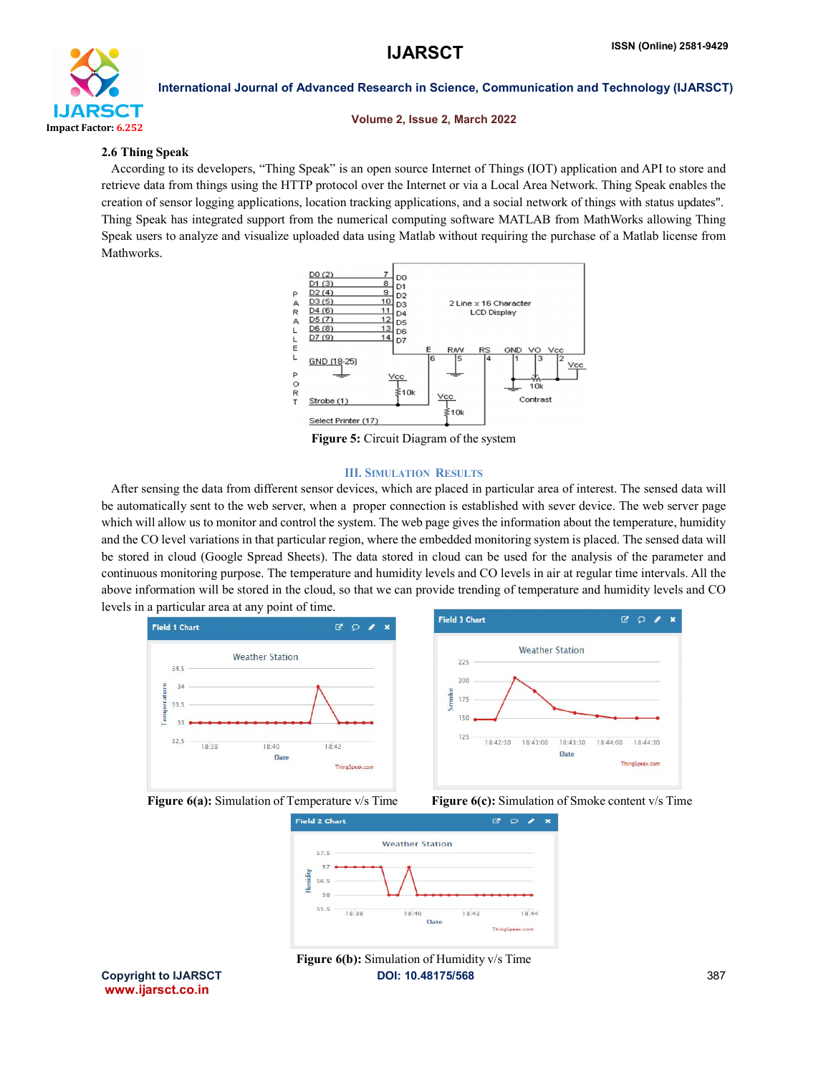

# Volume 2, Issue 2, March 2022

# 2.6 Thing Speak

 According to its developers, "Thing Speak" is an open source Internet of Things (IOT) application and API to store and retrieve data from things using the HTTP protocol over the Internet or via a Local Area Network. Thing Speak enables the creation of sensor logging applications, location tracking applications, and a social network of things with status updates". Thing Speak has integrated support from the numerical computing software MATLAB from MathWorks allowing Thing Speak users to analyze and visualize uploaded data using Matlab without requiring the purchase of a Matlab license from Mathworks.



Figure 5: Circuit Diagram of the system

### III. SIMULATION RESULTS

 After sensing the data from different sensor devices, which are placed in particular area of interest. The sensed data will be automatically sent to the web server, when a proper connection is established with sever device. The web server page which will allow us to monitor and control the system. The web page gives the information about the temperature, humidity and the CO level variations in that particular region, where the embedded monitoring system is placed. The sensed data will be stored in cloud (Google Spread Sheets). The data stored in cloud can be used for the analysis of the parameter and continuous monitoring purpose. The temperature and humidity levels and CO levels in air at regular time intervals. All the above information will be stored in the cloud, so that we can provide trending of temperature and humidity levels and CO levels in a particular area at any point of time.







www.ijarsct.co.in

Copyright to IJARSCT **DOI: 10.48175/568** 387 Figure 6(b): Simulation of Humidity v/s Time